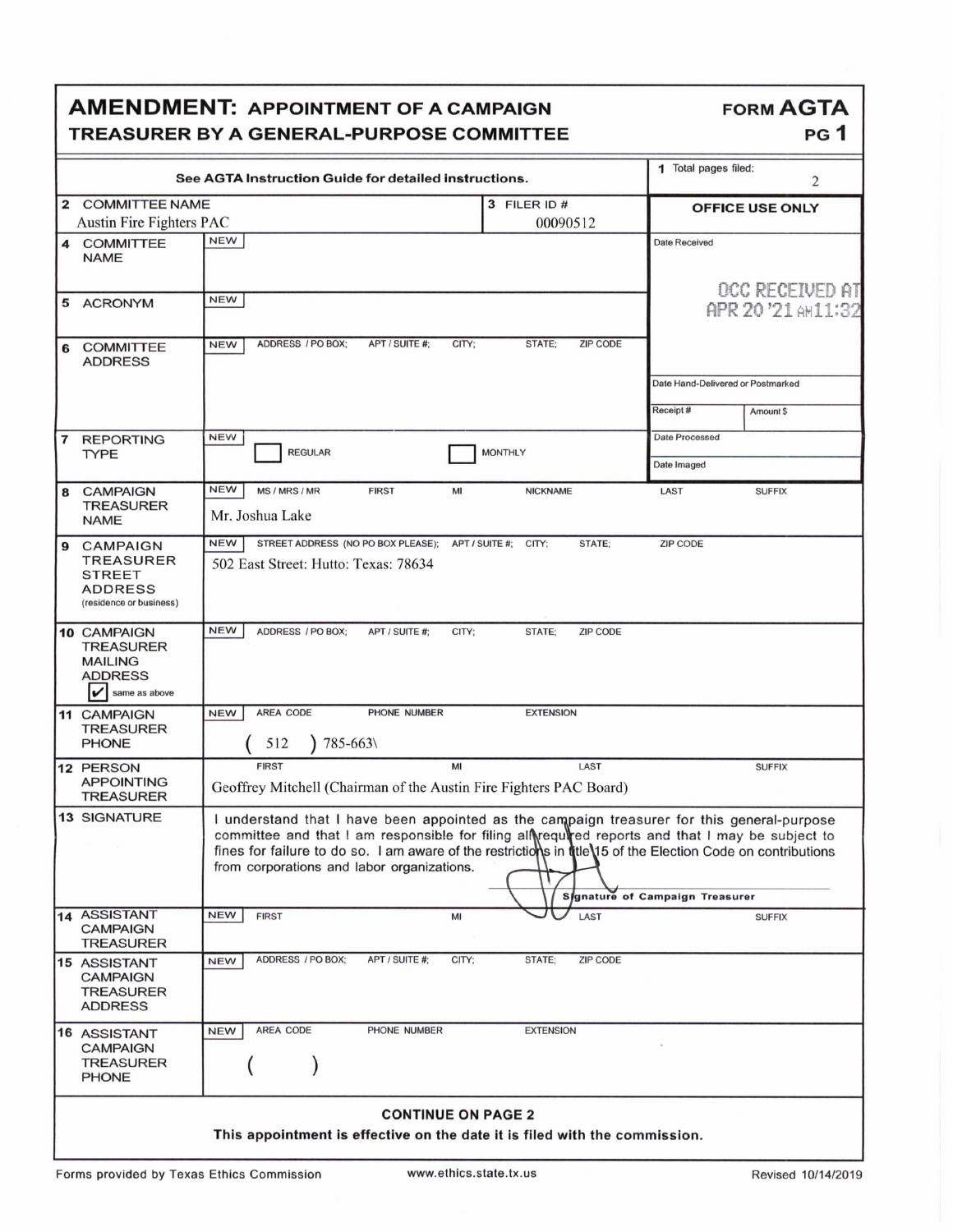|                                                                                                         | <b>AMENDMENT: APPOINTMENT OF A CAMPAIGN</b>                                                |                                                                                                                                                                                                                                                                                                                                                                                               | <b>FORM AGTA</b>                              |                       |  |
|---------------------------------------------------------------------------------------------------------|--------------------------------------------------------------------------------------------|-----------------------------------------------------------------------------------------------------------------------------------------------------------------------------------------------------------------------------------------------------------------------------------------------------------------------------------------------------------------------------------------------|-----------------------------------------------|-----------------------|--|
|                                                                                                         | <b>TREASURER BY A GENERAL-PURPOSE COMMITTEE</b>                                            |                                                                                                                                                                                                                                                                                                                                                                                               | PG <sub>1</sub>                               |                       |  |
|                                                                                                         | See AGTA Instruction Guide for detailed instructions.                                      | 1 Total pages filed:                                                                                                                                                                                                                                                                                                                                                                          | 2                                             |                       |  |
| 2                                                                                                       | <b>COMMITTEE NAME</b><br>3 FILER ID #                                                      |                                                                                                                                                                                                                                                                                                                                                                                               | <b>OFFICE USE ONLY</b>                        |                       |  |
|                                                                                                         | Austin Fire Fighters PAC                                                                   | 00090512<br><b>NEW</b>                                                                                                                                                                                                                                                                                                                                                                        |                                               |                       |  |
| 4                                                                                                       | <b>COMMITTEE</b><br><b>NAME</b>                                                            |                                                                                                                                                                                                                                                                                                                                                                                               | <b>Date Received</b>                          |                       |  |
|                                                                                                         | 5 ACRONYM                                                                                  | <b>NEW</b>                                                                                                                                                                                                                                                                                                                                                                                    | OCC RECEIVED AT<br>APR 20 '21 AM11:32         |                       |  |
| 6                                                                                                       | <b>COMMITTEE</b><br><b>ADDRESS</b>                                                         | ADDRESS / PO BOX;<br>CITY;<br>STATE:<br><b>ZIP CODE</b><br><b>NEW</b><br>APT / SUITE #:                                                                                                                                                                                                                                                                                                       |                                               |                       |  |
|                                                                                                         |                                                                                            |                                                                                                                                                                                                                                                                                                                                                                                               | Date Hand-Delivered or Postmarked<br>Receipt# | Amount \$             |  |
|                                                                                                         |                                                                                            |                                                                                                                                                                                                                                                                                                                                                                                               |                                               |                       |  |
| $\overline{\phantom{a}}$                                                                                | <b>REPORTING</b><br><b>TYPE</b>                                                            | <b>NEW</b><br><b>REGULAR</b><br><b>MONTHLY</b>                                                                                                                                                                                                                                                                                                                                                |                                               | <b>Date Processed</b> |  |
|                                                                                                         |                                                                                            |                                                                                                                                                                                                                                                                                                                                                                                               | Date Imaged                                   |                       |  |
| 8                                                                                                       | <b>CAMPAIGN</b><br><b>TREASURER</b><br><b>NAME</b>                                         | <b>NEW</b><br>MS / MRS / MR<br><b>FIRST</b><br>MI<br><b>NICKNAME</b><br>Mr. Joshua Lake                                                                                                                                                                                                                                                                                                       | LAST                                          | <b>SUFFIX</b>         |  |
| 9                                                                                                       | CAMPAIGN<br><b>TREASURER</b><br><b>STREET</b><br><b>ADDRESS</b><br>(residence or business) | STREET ADDRESS (NO PO BOX PLEASE); APT / SUITE #; CITY;<br><b>NEW</b><br>STATE;<br>502 East Street: Hutto: Texas: 78634                                                                                                                                                                                                                                                                       | ZIP CODE                                      |                       |  |
|                                                                                                         | 10 CAMPAIGN<br><b>TREASURER</b><br><b>MAILING</b><br><b>ADDRESS</b><br>v<br>same as above  | <b>NEW</b><br>ADDRESS / PO BOX:<br>APT / SUITE #:<br>CITY:<br>STATE;<br><b>ZIP CODE</b>                                                                                                                                                                                                                                                                                                       |                                               |                       |  |
|                                                                                                         | <b>11 CAMPAIGN</b><br><b>TREASURER</b><br><b>PHONE</b>                                     | AREA CODE<br><b>NEW</b><br>PHONE NUMBER<br><b>EXTENSION</b><br>785-663\<br>512                                                                                                                                                                                                                                                                                                                |                                               |                       |  |
|                                                                                                         | 12 PERSON<br><b>APPOINTING</b><br><b>IREASURER</b>                                         | <b>FIRST</b><br>MI<br>LAST<br>Geoffrey Mitchell (Chairman of the Austin Fire Fighters PAC Board)                                                                                                                                                                                                                                                                                              | <b>SUFFIX</b>                                 |                       |  |
|                                                                                                         | <b>13 SIGNATURE</b>                                                                        | I understand that I have been appointed as the campaign treasurer for this general-purpose<br>committee and that I am responsible for filing all required reports and that I may be subject to<br>fines for failure to do so. I am aware of the restrictions in the 15 of the Election Code on contributions<br>from corporations and labor organizations.<br>Signature of Campaign Treasurer |                                               |                       |  |
|                                                                                                         | 14 ASSISTANT<br><b>CAMPAIGN</b><br><b>TREASURER</b>                                        | <b>NEW</b><br><b>FIRST</b><br>LAST<br>MI                                                                                                                                                                                                                                                                                                                                                      |                                               | <b>SUFFIX</b>         |  |
|                                                                                                         | <b>15 ASSISTANT</b><br><b>CAMPAIGN</b><br><b>TREASURER</b><br><b>ADDRESS</b>               | ADDRESS / PO BOX:<br>STATE;<br>APT / SUITE #;<br>CITY;<br>ZIP CODE<br><b>NEW</b>                                                                                                                                                                                                                                                                                                              |                                               |                       |  |
|                                                                                                         | 16 ASSISTANT<br><b>CAMPAIGN</b><br>TREASURER<br><b>PHONE</b>                               | AREA CODE<br><b>NEW</b><br>PHONE NUMBER<br><b>EXTENSION</b>                                                                                                                                                                                                                                                                                                                                   |                                               |                       |  |
| <b>CONTINUE ON PAGE 2</b><br>This appointment is effective on the date it is filed with the commission. |                                                                                            |                                                                                                                                                                                                                                                                                                                                                                                               |                                               |                       |  |

٦